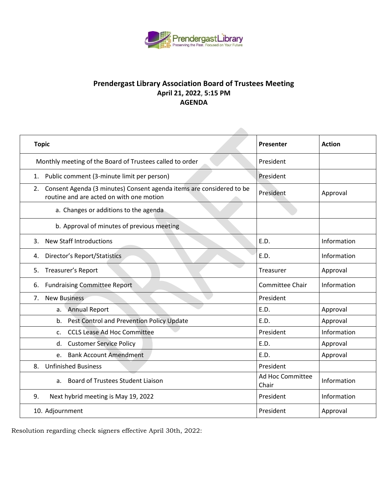

## **Prendergast Library Association Board of Trustees Meeting April 21, 2022**, **5:15 PM AGENDA**

| <b>Topic</b>                                                                                                           | Presenter                 | <b>Action</b> |
|------------------------------------------------------------------------------------------------------------------------|---------------------------|---------------|
| Monthly meeting of the Board of Trustees called to order                                                               | President                 |               |
| Public comment (3-minute limit per person)<br>1.                                                                       | President                 |               |
| Consent Agenda (3 minutes) Consent agenda items are considered to be<br>2.<br>routine and are acted on with one motion | President                 | Approval      |
| a. Changes or additions to the agenda                                                                                  |                           |               |
| b. Approval of minutes of previous meeting                                                                             |                           |               |
| <b>New Staff Introductions</b><br>3.                                                                                   | E.D.                      | Information   |
| <b>Director's Report/Statistics</b><br>4.                                                                              | E.D.                      | Information   |
| Treasurer's Report<br>5.                                                                                               | Treasurer                 | Approval      |
| <b>Fundraising Committee Report</b><br>6.                                                                              | Committee Chair           | Information   |
| <b>New Business</b><br>7.                                                                                              | President                 |               |
| <b>Annual Report</b><br>а.                                                                                             | E.D.                      | Approval      |
| Pest Control and Prevention Policy Update<br>b.                                                                        | E.D.                      | Approval      |
| <b>CCLS Lease Ad Hoc Committee</b><br>$\mathsf{C}$ .                                                                   | President                 | Information   |
| <b>Customer Service Policy</b><br>d.                                                                                   | E.D.                      | Approval      |
| e. Bank Account Amendment                                                                                              | E.D.                      | Approval      |
| <b>Unfinished Business</b><br>8.                                                                                       | President                 |               |
| <b>Board of Trustees Student Liaison</b><br>а.                                                                         | Ad Hoc Committee<br>Chair | Information   |
| 9.<br>Next hybrid meeting is May 19, 2022                                                                              | President                 | Information   |
| 10. Adjournment                                                                                                        | President                 | Approval      |

Resolution regarding check signers effective April 30th, 2022: